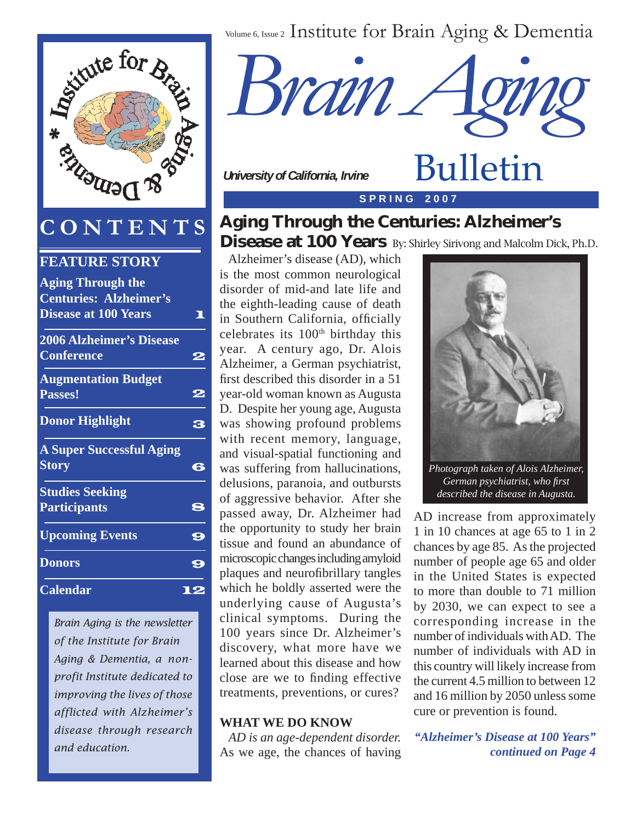



## **CONTENTS**

| J IN I L'IN I                                             | O  |
|-----------------------------------------------------------|----|
| <b>FEATURE STORY</b>                                      |    |
| <b>Aging Through the</b><br><b>Centuries: Alzheimer's</b> |    |
| <b>Disease at 100 Years</b>                               |    |
| <b>2006 Alzheimer's Disease</b><br><b>Conference</b>      | رو |
| <b>Augmentation Budget</b><br>Passes!                     | 2  |
| <b>Donor Highlight</b>                                    | 3  |
| <b>A Super Successful Aging</b><br><b>Story</b>           | 6  |
| <b>Studies Seeking</b>                                    |    |
| <b>Participants</b>                                       | 8  |
| <b>Upcoming Events</b>                                    | 9  |
| <b>Donors</b>                                             | 9  |
| <b>Calendar</b>                                           |    |
|                                                           |    |

*Brain Aging is the newsletter of the Institute for Brain Aging & Dementia, a nonprofit Institute dedicated to improving the lives of those afflicted with Alzheimer's disease through research and education.*



 *University of California, Irvine*

**S P R I N G 2 0 0 7**

## Aging Through the Centuries: Alzheimer's Disease at 100 Years By: Shirley Sirivong and Malcolm Dick, Ph.D.

 Alzheimer's disease (AD), which is the most common neurological disorder of mid-and late life and the eighth-leading cause of death in Southern California, officially celebrates its 100<sup>th</sup> birthday this year. A century ago, Dr. Alois Alzheimer, a German psychiatrist, first described this disorder in a 51 year-old woman known as Augusta D. Despite her young age, Augusta was showing profound problems with recent memory, language, and visual-spatial functioning and was suffering from hallucinations, delusions, paranoia, and outbursts of aggressive behavior. After she passed away, Dr. Alzheimer had the opportunity to study her brain tissue and found an abundance of microscopic changes including amyloid plaques and neurofibrillary tangles which he boldly asserted were the underlying cause of Augusta's clinical symptoms. During the 100 years since Dr. Alzheimer's discovery, what more have we learned about this disease and how close are we to finding effective treatments, preventions, or cures?

#### **WHAT WE DO KNOW**

*AD is an age-dependent disorder.*  As we age, the chances of having



Bulletin

AD increase from approximately 1 in 10 chances at age 65 to 1 in 2 chances by age 85. As the projected number of people age 65 and older in the United States is expected to more than double to 71 million by 2030, we can expect to see a corresponding increase in the number of individuals with AD. The number of individuals with AD in this country will likely increase from the current 4.5 million to between 12 and 16 million by 2050 unless some cure or prevention is found.

*"Alzheimer's Disease at 100 Years" continued on Page 4*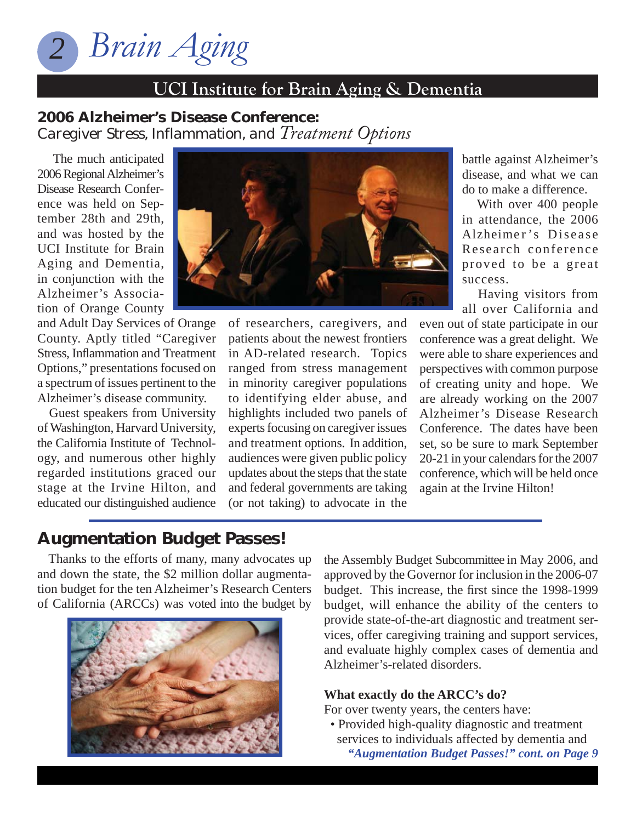

### 2006 Alzheimer's Disease Conference: *Caregiver Stress, Inflammation, and Treatment Options*

 The much anticipated 2006 Regional Alzheimer's Disease Research Conference was held on September 28th and 29th, and was hosted by the UCI Institute for Brain Aging and Dementia, in conjunction with the Alzheimer's Association of Orange County

and Adult Day Services of Orange County. Aptly titled "Caregiver Stress, Inflammation and Treatment Options," presentations focused on a spectrum of issues pertinent to the Alzheimer's disease community.

 Guest speakers from University of Washington, Harvard University, the California Institute of Technology, and numerous other highly regarded institutions graced our stage at the Irvine Hilton, and educated our distinguished audience



of researchers, caregivers, and patients about the newest frontiers in AD-related research. Topics ranged from stress management in minority caregiver populations to identifying elder abuse, and highlights included two panels of experts focusing on caregiver issues and treatment options. In addition, audiences were given public policy updates about the steps that the state and federal governments are taking (or not taking) to advocate in the battle against Alzheimer's disease, and what we can do to make a difference.

 With over 400 people in attendance, the 2006 Alzheimer's Disease Research conference proved to be a great success.

 Having visitors from all over California and

even out of state participate in our conference was a great delight. We were able to share experiences and perspectives with common purpose of creating unity and hope. We are already working on the 2007 Alzheimer's Disease Research Conference. The dates have been set, so be sure to mark September 20-21 in your calendars for the 2007 conference, which will be held once again at the Irvine Hilton!

## Augmentation Budget Passes!

 Thanks to the efforts of many, many advocates up and down the state, the \$2 million dollar augmentation budget for the ten Alzheimer's Research Centers of California (ARCCs) was voted into the budget by



the Assembly Budget Subcommittee in May 2006, and approved by the Governor for inclusion in the 2006-07 budget. This increase, the first since the 1998-1999 budget, will enhance the ability of the centers to provide state-of-the-art diagnostic and treatment services, offer caregiving training and support services, and evaluate highly complex cases of dementia and Alzheimer's-related disorders.

#### **What exactly do the ARCC's do?**

For over twenty years, the centers have:

 • Provided high-quality diagnostic and treatment services to individuals affected by dementia and *"Augmentation Budget Passes!" cont. on Page 9*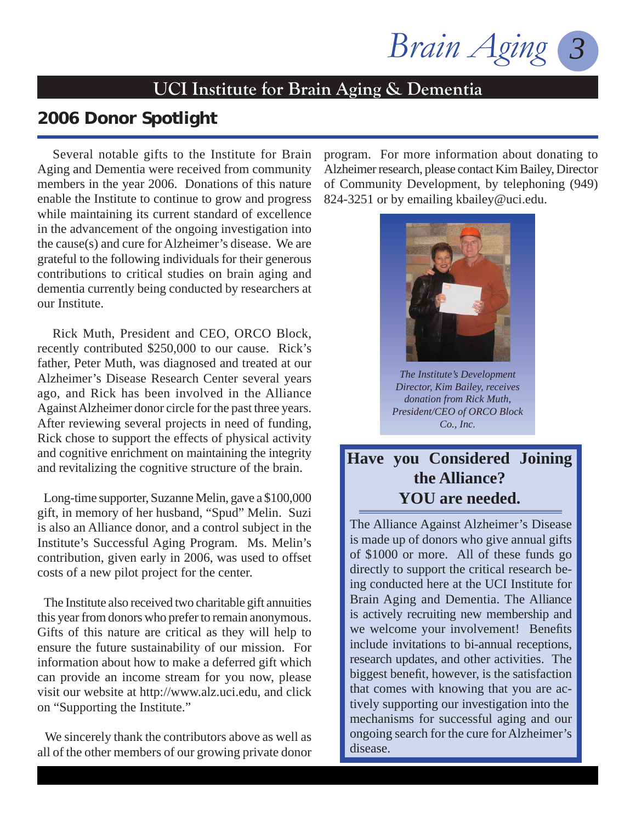*Brain Aging* 

## 2006 Donor Spotlight

 Several notable gifts to the Institute for Brain Aging and Dementia were received from community members in the year 2006. Donations of this nature enable the Institute to continue to grow and progress while maintaining its current standard of excellence in the advancement of the ongoing investigation into the cause(s) and cure for Alzheimer's disease. We are grateful to the following individuals for their generous contributions to critical studies on brain aging and dementia currently being conducted by researchers at our Institute.

 Rick Muth, President and CEO, ORCO Block, recently contributed \$250,000 to our cause. Rick's father, Peter Muth, was diagnosed and treated at our Alzheimer's Disease Research Center several years ago, and Rick has been involved in the Alliance Against Alzheimer donor circle for the past three years. After reviewing several projects in need of funding, Rick chose to support the effects of physical activity and cognitive enrichment on maintaining the integrity and revitalizing the cognitive structure of the brain.

 Long-time supporter, Suzanne Melin, gave a \$100,000 gift, in memory of her husband, "Spud" Melin. Suzi is also an Alliance donor, and a control subject in the Institute's Successful Aging Program. Ms. Melin's contribution, given early in 2006, was used to offset costs of a new pilot project for the center.

 The Institute also received two charitable gift annuities this year from donors who prefer to remain anonymous. Gifts of this nature are critical as they will help to ensure the future sustainability of our mission. For information about how to make a deferred gift which can provide an income stream for you now, please visit our website at http://www.alz.uci.edu, and click on "Supporting the Institute."

 We sincerely thank the contributors above as well as all of the other members of our growing private donor program. For more information about donating to Alzheimer research, please contact Kim Bailey, Director of Community Development, by telephoning (949) 824-3251 or by emailing kbailey@uci.edu.



*The Institute's Development Director, Kim Bailey, receives donation from Rick Muth, President/CEO of ORCO Block Co., Inc.*

## **Have you Considered Joining the Alliance? YOU are needed.**

The Alliance Against Alzheimer's Disease is made up of donors who give annual gifts of \$1000 or more. All of these funds go directly to support the critical research being conducted here at the UCI Institute for Brain Aging and Dementia. The Alliance is actively recruiting new membership and we welcome your involvement! Benefits include invitations to bi-annual receptions, research updates, and other activities. The biggest benefit, however, is the satisfaction that comes with knowing that you are actively supporting our investigation into the mechanisms for successful aging and our ongoing search for the cure for Alzheimer's disease.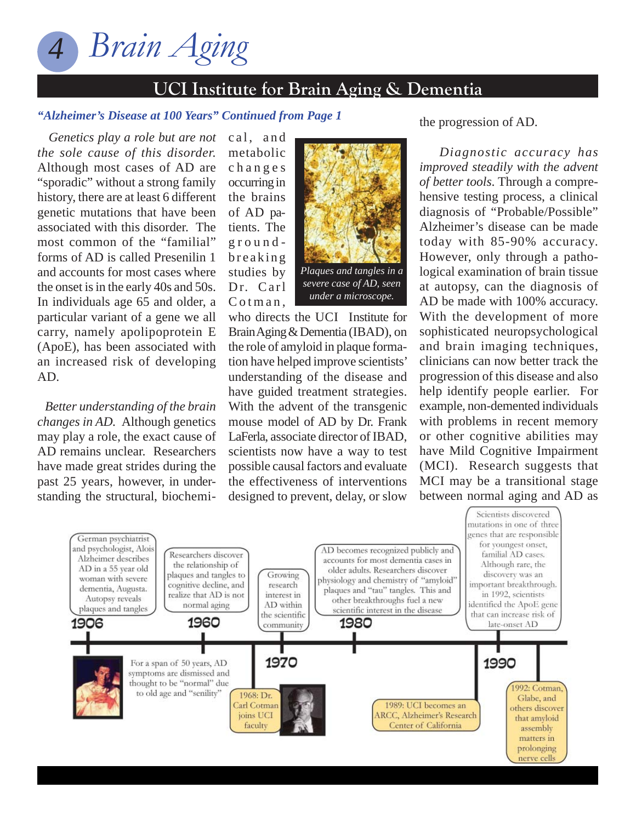

#### *"Alzheimer's Disease at 100 Years" Continued from Page 1*

 *Genetics play a role but are not the sole cause of this disorder.*  Although most cases of AD are "sporadic" without a strong family history, there are at least 6 different genetic mutations that have been associated with this disorder. The most common of the "familial" forms of AD is called Presenilin 1 and accounts for most cases where the onset is in the early 40s and 50s. In individuals age 65 and older, a particular variant of a gene we all carry, namely apolipoprotein E (ApoE), has been associated with an increased risk of developing AD.

 *Better understanding of the brain changes in AD.* Although genetics may play a role, the exact cause of AD remains unclear. Researchers have made great strides during the past 25 years, however, in understanding the structural, biochemimetabolic c h a n g e s occurring in the brains of AD patients. The groundb r e a k i n g studies by Dr. Carl  $C$  o t m a n.

cal, and



who directs the UCI Institute for Brain Aging & Dementia (IBAD), on the role of amyloid in plaque formation have helped improve scientists' understanding of the disease and have guided treatment strategies. With the advent of the transgenic mouse model of AD by Dr. Frank LaFerla, associate director of IBAD, scientists now have a way to test possible causal factors and evaluate the effectiveness of interventions designed to prevent, delay, or slow

the progression of AD.

 *Diagnostic accuracy has improved steadily with the advent of better tools*. Through a comprehensive testing process, a clinical diagnosis of "Probable/Possible" Alzheimer's disease can be made today with 85-90% accuracy. However, only through a pathological examination of brain tissue at autopsy, can the diagnosis of AD be made with 100% accuracy. With the development of more sophisticated neuropsychological and brain imaging techniques, clinicians can now better track the progression of this disease and also help identify people earlier. For example, non-demented individuals with problems in recent memory or other cognitive abilities may have Mild Cognitive Impairment (MCI). Research suggests that MCI may be a transitional stage between normal aging and AD as

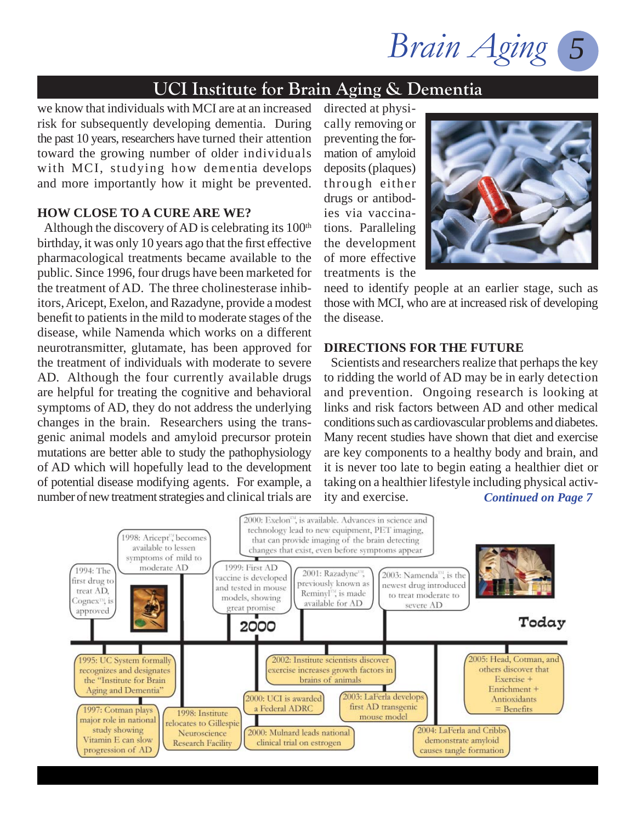Brain Aging

we know that individuals with MCI are at an increased risk for subsequently developing dementia. During the past 10 years, researchers have turned their attention toward the growing number of older individuals with MCI, studying how dementia develops and more importantly how it might be prevented.

#### **HOW CLOSE TO A CURE ARE WE?**

Although the discovery of AD is celebrating its  $100<sup>th</sup>$ birthday, it was only 10 years ago that the first effective pharmacological treatments became available to the public. Since 1996, four drugs have been marketed for the treatment of AD. The three cholinesterase inhibitors, Aricept, Exelon, and Razadyne, provide a modest benefit to patients in the mild to moderate stages of the disease, while Namenda which works on a different neurotransmitter, glutamate, has been approved for the treatment of individuals with moderate to severe AD. Although the four currently available drugs are helpful for treating the cognitive and behavioral symptoms of AD, they do not address the underlying changes in the brain. Researchers using the transgenic animal models and amyloid precursor protein mutations are better able to study the pathophysiology of AD which will hopefully lead to the development of potential disease modifying agents. For example, a number of new treatment strategies and clinical trials are

directed at physically removing or preventing the formation of amyloid deposits (plaques) through either drugs or antibodies via vaccinations. Paralleling the development of more effective treatments is the



need to identify people at an earlier stage, such as those with MCI, who are at increased risk of developing the disease.

#### **DIRECTIONS FOR THE FUTURE**

 Scientists and researchers realize that perhaps the key to ridding the world of AD may be in early detection and prevention. Ongoing research is looking at links and risk factors between AD and other medical conditions such as cardiovascular problems and diabetes. Many recent studies have shown that diet and exercise are key components to a healthy body and brain, and it is never too late to begin eating a healthier diet or taking on a healthier lifestyle including physical activity and exercise. *Continued on Page 7*

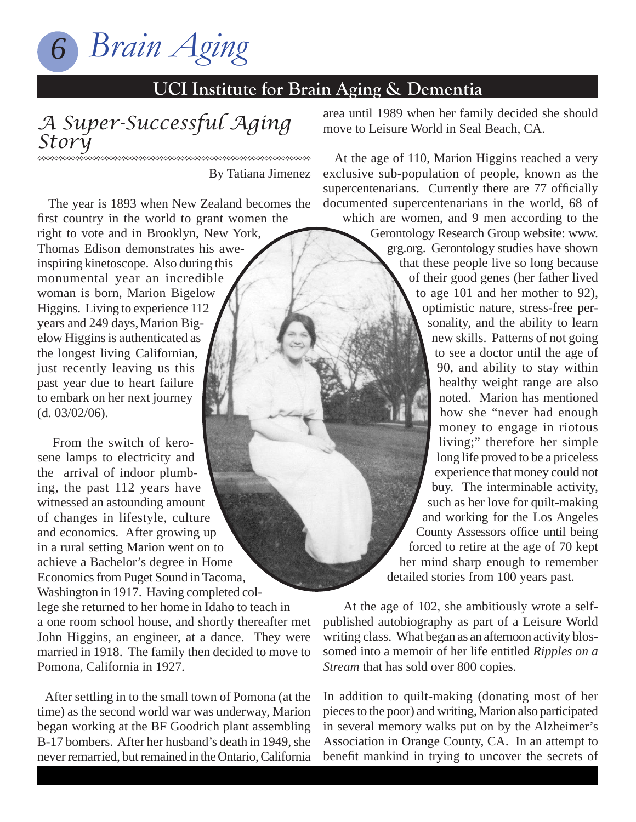

#### *A Super-Successful Aging Story*

By Tatiana Jimenez

 The year is 1893 when New Zealand becomes the first country in the world to grant women the

right to vote and in Brooklyn, New York, Thomas Edison demonstrates his aweinspiring kinetoscope. Also during this monumental year an incredible woman is born, Marion Bigelow Higgins. Living to experience 112 years and 249 days, Marion Bigelow Higgins is authenticated as the longest living Californian, just recently leaving us this past year due to heart failure to embark on her next journey (d. 03/02/06).

 From the switch of kerosene lamps to electricity and the arrival of indoor plumbing, the past 112 years have witnessed an astounding amount of changes in lifestyle, culture and economics. After growing up in a rural setting Marion went on to achieve a Bachelor's degree in Home Economics from Puget Sound in Tacoma, Washington in 1917. Having completed college she returned to her home in Idaho to teach in a one room school house, and shortly thereafter met John Higgins, an engineer, at a dance. They were married in 1918. The family then decided to move to Pomona, California in 1927.

 After settling in to the small town of Pomona (at the time) as the second world war was underway, Marion began working at the BF Goodrich plant assembling B-17 bombers. After her husband's death in 1949, she never remarried, but remained in the Ontario, California area until 1989 when her family decided she should move to Leisure World in Seal Beach, CA.

 At the age of 110, Marion Higgins reached a very exclusive sub-population of people, known as the supercentenarians. Currently there are 77 officially documented supercentenarians in the world, 68 of which are women, and 9 men according to the Gerontology Research Group website: www. grg.org. Gerontology studies have shown that these people live so long because of their good genes (her father lived to age 101 and her mother to 92), optimistic nature, stress-free personality, and the ability to learn new skills. Patterns of not going to see a doctor until the age of 90, and ability to stay within healthy weight range are also noted. Marion has mentioned how she "never had enough money to engage in riotous living;" therefore her simple long life proved to be a priceless experience that money could not buy. The interminable activity, such as her love for quilt-making

and working for the Los Angeles County Assessors office until being forced to retire at the age of 70 kept her mind sharp enough to remember detailed stories from 100 years past.

At the age of 102, she ambitiously wrote a selfpublished autobiography as part of a Leisure World writing class. What began as an afternoon activity blossomed into a memoir of her life entitled *Ripples on a Stream* that has sold over 800 copies.

In addition to quilt-making (donating most of her pieces to the poor) and writing, Marion also participated in several memory walks put on by the Alzheimer's Association in Orange County, CA. In an attempt to benefit mankind in trying to uncover the secrets of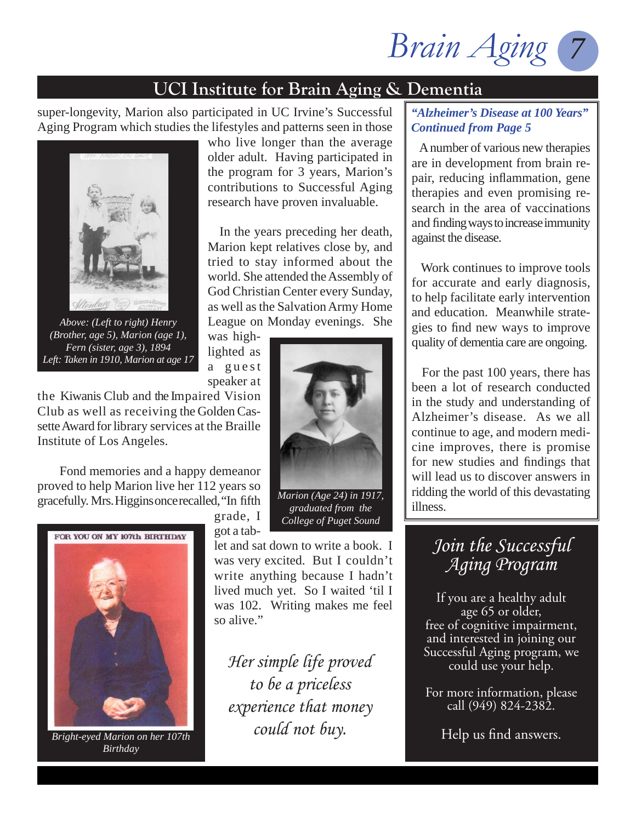*Brain Aging 7*

super-longevity, Marion also participated in UC Irvine's Successful Aging Program which studies the lifestyles and patterns seen in those



*Above: (Left to right) Henry (Brother, age 5), Marion (age 1), Fern (sister, age 3), 1894 Left: Taken in 1910, Marion at age 17*

who live longer than the average older adult. Having participated in the program for 3 years, Marion's contributions to Successful Aging research have proven invaluable.

 In the years preceding her death, Marion kept relatives close by, and tried to stay informed about the world. She attended the Assembly of God Christian Center every Sunday, as well as the Salvation Army Home League on Monday evenings. She

was highlighted as a guest speaker at

the Kiwanis Club and the Impaired Vision Club as well as receiving the Golden Cassette Award for library services at the Braille Institute of Los Angeles.

 Fond memories and a happy demeanor proved to help Marion live her 112 years so gracefully. Mrs. Higgins once recalled, "In fifth



*Bright-eyed Marion on her 107th Birthday*

grade, I got a tab-

let and sat down to write a book. I was very excited. But I couldn't write anything because I hadn't lived much yet. So I waited 'til I was 102. Writing makes me feel so alive."

*Her simple life proved to be a priceless experience that money could not buy.*

#### *"Alzheimer's Disease at 100 Years" Continued from Page 5*

 A number of various new therapies are in development from brain repair, reducing inflammation, gene therapies and even promising research in the area of vaccinations and finding ways to increase immunity against the disease.

 Work continues to improve tools for accurate and early diagnosis, to help facilitate early intervention and education. Meanwhile strategies to find new ways to improve quality of dementia care are ongoing.

 For the past 100 years, there has been a lot of research conducted in the study and understanding of Alzheimer's disease. As we all continue to age, and modern medicine improves, there is promise for new studies and findings that will lead us to discover answers in ridding the world of this devastating illness.

## *Join the Successful Aging Program*

If you are a healthy adult age 65 or older, free of cognitive impairment, and interested in joining our Successful Aging program, we could use your help.

For more information, please call (949) 824-2382.

Help us find answers.



*College of Puget Sound*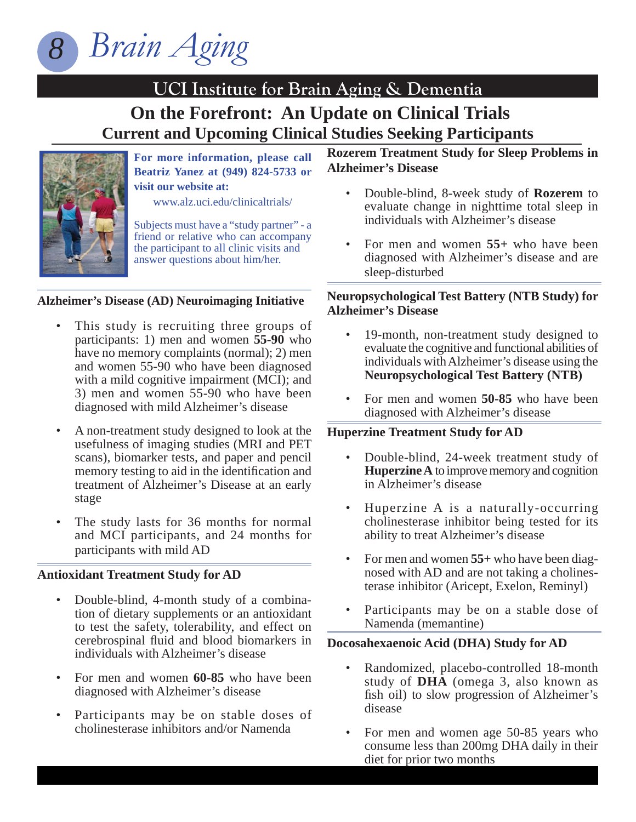

#### **UCI Institute for Brain Aging & Dementia On the Forefront: An Update on Clinical Trials Current and Upcoming Clinical Studies Seeking Participants**



**For more information, please call Beatriz Yanez at (949) 824-5733 or visit our website at:** 

www.alz.uci.edu/clinicaltrials/

Subjects must have a "study partner" - a friend or relative who can accompany the participant to all clinic visits and answer questions about him/her.

#### **Alzheimer's Disease (AD) Neuroimaging Initiative**

- This study is recruiting three groups of participants: 1) men and women **55-90** who have no memory complaints (normal); 2) men and women 55-90 who have been diagnosed with a mild cognitive impairment (MCI); and 3) men and women 55-90 who have been diagnosed with mild Alzheimer's disease
- A non-treatment study designed to look at the usefulness of imaging studies (MRI and PET scans), biomarker tests, and paper and pencil memory testing to aid in the identification and treatment of Alzheimer's Disease at an early stage
- The study lasts for 36 months for normal and MCI participants, and 24 months for participants with mild AD

#### **Antioxidant Treatment Study for AD**

- Double-blind, 4-month study of a combination of dietary supplements or an antioxidant to test the safety, tolerability, and effect on cerebrospinal fluid and blood biomarkers in individuals with Alzheimer's disease
- For men and women **60-85** who have been diagnosed with Alzheimer's disease
- Participants may be on stable doses of cholinesterase inhibitors and/or Namenda

#### **Rozerem Treatment Study for Sleep Problems in Alzheimer's Disease**

- Double-blind, 8-week study of **Rozerem** to evaluate change in nighttime total sleep in individuals with Alzheimer's disease
- For men and women **55+** who have been diagnosed with Alzheimer's disease and are sleep-disturbed

#### **Neuropsychological Test Battery (NTB Study) for Alzheimer's Disease**

- 19-month, non-treatment study designed to evaluate the cognitive and functional abilities of individuals with Alzheimer's disease using the **Neuropsychological Test Battery (NTB)**
- For men and women **50-85** who have been diagnosed with Alzheimer's disease

#### **Huperzine Treatment Study for AD**

- Double-blind, 24-week treatment study of **Huperzine A** to improve memory and cognition in Alzheimer's disease
- Huperzine A is a naturally-occurring cholinesterase inhibitor being tested for its ability to treat Alzheimer's disease
- For men and women **55+** who have been diagnosed with AD and are not taking a cholinesterase inhibitor (Aricept, Exelon, Reminyl)
- Participants may be on a stable dose of Namenda (memantine)

#### **Docosahexaenoic Acid (DHA) Study for AD**

- Randomized, placebo-controlled 18-month study of **DHA** (omega 3, also known as fish oil) to slow progression of Alzheimer's disease
- For men and women age 50-85 years who consume less than 200mg DHA daily in their diet for prior two months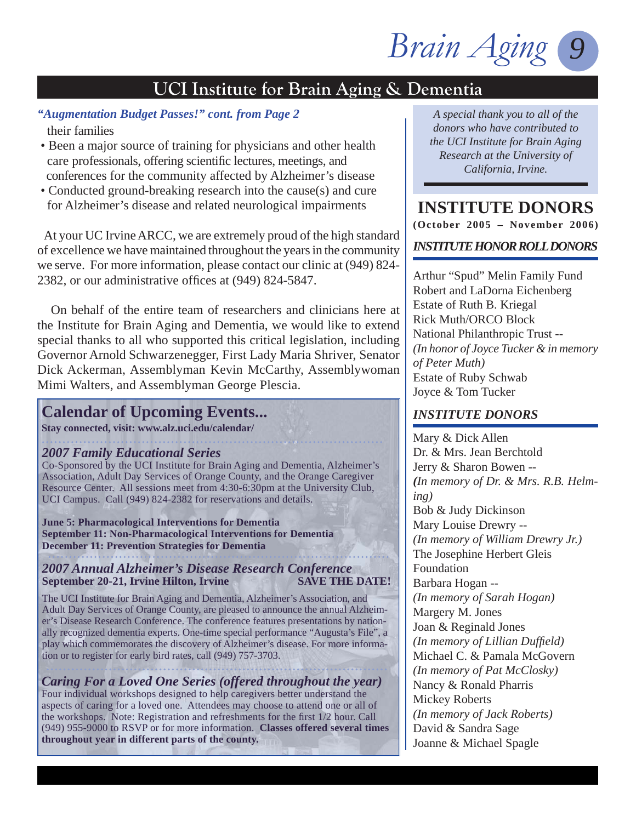

#### *"Augmentation Budget Passes!" cont. from Page 2 A special thank you to all of the*

their families

- Been a major source of training for physicians and other health care professionals, offering scientific lectures, meetings, and conferences for the community affected by Alzheimer's disease
- Conducted ground-breaking research into the cause(s) and cure for Alzheimer's disease and related neurological impairments

 At your UC Irvine ARCC, we are extremely proud of the high standard of excellence we have maintained throughout the years in the community we serve. For more information, please contact our clinic at (949) 824- 2382, or our administrative offices at  $(949)$  824-5847.

 On behalf of the entire team of researchers and clinicians here at the Institute for Brain Aging and Dementia, we would like to extend special thanks to all who supported this critical legislation, including Governor Arnold Schwarzenegger, First Lady Maria Shriver, Senator Dick Ackerman, Assemblyman Kevin McCarthy, Assemblywoman Mimi Walters, and Assemblyman George Plescia.

## **Calendar of Upcoming Events...**

**Stay connected, visit: www.alz.uci.edu/calendar/**

#### *2007 Family Educational Series*

Co-Sponsored by the UCI Institute for Brain Aging and Dementia, Alzheimer's Association, Adult Day Services of Orange County, and the Orange Caregiver Resource Center. All sessions meet from 4:30-6:30pm at the University Club, UCI Campus. Call (949) 824-2382 for reservations and details.

**June 5: Pharmacological Interventions for Dementia September 11: Non-Pharmacological Interventions for Dementia December 11: Prevention Strategies for Dementia**

#### *2007 Annual Alzheimer's Disease Research Conference* September 20-21, Irvine Hilton, Irvine SAVE THE DATE!

The UCI Institute for Brain Aging and Dementia, Alzheimer's Association, and Adult Day Services of Orange County, are pleased to announce the annual Alzheimer's Disease Research Conference. The conference features presentations by nationally recognized dementia experts. One-time special performance "Augusta's File", a play which commemorates the discovery of Alzheimer's disease. For more information or to register for early bird rates, call (949) 757-3703.

#### *Caring For a Loved One Series (offered throughout the year)* Four individual workshops designed to help caregivers better understand the aspects of caring for a loved one. Attendees may choose to attend one or all of the workshops. Note: Registration and refreshments for the first 1/2 hour. Call (949) 955-9000 to RSVP or for more information. **Classes offered several times throughout year in different parts of the county.**

*donors who have contributed to the UCI Institute for Brain Aging Research at the University of California, Irvine.*

**INSTITUTE DONORS (October 2005 – November 2006)** 

#### *INSTITUTE HONOR ROLL DONORS*

Arthur "Spud" Melin Family Fund Robert and LaDorna Eichenberg Estate of Ruth B. Kriegal Rick Muth/ORCO Block National Philanthropic Trust -- *(In honor of Joyce Tucker & in memory of Peter Muth)* Estate of Ruby Schwab Joyce & Tom Tucker

#### *INSTITUTE DONORS*

Mary & Dick Allen Dr. & Mrs. Jean Berchtold Jerry & Sharon Bowen -- *(In memory of Dr. & Mrs. R.B. Helming)* Bob & Judy Dickinson Mary Louise Drewry -- *(In memory of William Drewry Jr.)* The Josephine Herbert Gleis Foundation Barbara Hogan -- *(In memory of Sarah Hogan)* Margery M. Jones Joan & Reginald Jones *(In memory of Lillian Duffi eld)* Michael C. & Pamala McGovern *(In memory of Pat McClosky)* Nancy & Ronald Pharris Mickey Roberts *(In memory of Jack Roberts)*  David & Sandra Sage Joanne & Michael Spagle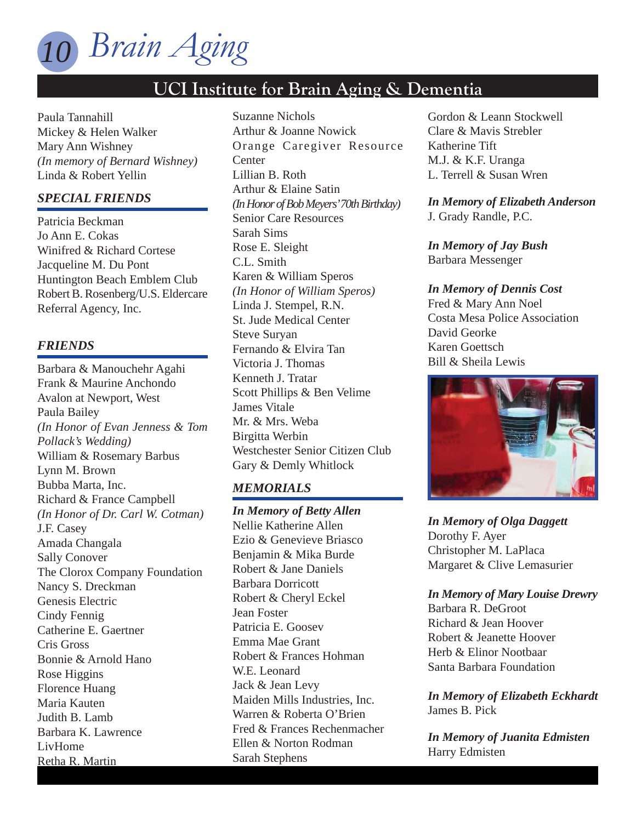

Paula Tannahill Mickey & Helen Walker Mary Ann Wishney *(In memory of Bernard Wishney)* Linda & Robert Yellin

#### *SPECIAL FRIENDS*

Patricia Beckman Jo Ann E. Cokas Winifred & Richard Cortese Jacqueline M. Du Pont Huntington Beach Emblem Club Robert B. Rosenberg/U.S. Eldercare Referral Agency, Inc.

#### *FRIENDS*

Barbara & Manouchehr Agahi Frank & Maurine Anchondo Avalon at Newport, West Paula Bailey *(In Honor of Evan Jenness & Tom Pollack's Wedding)* William & Rosemary Barbus Lynn M. Brown Bubba Marta, Inc. Richard & France Campbell *(In Honor of Dr. Carl W. Cotman)* J.F. Casey Amada Changala Sally Conover The Clorox Company Foundation Nancy S. Dreckman Genesis Electric Cindy Fennig Catherine E. Gaertner Cris Gross Bonnie & Arnold Hano Rose Higgins Florence Huang Maria Kauten Judith B. Lamb Barbara K. Lawrence LivHome Retha R. Martin

Suzanne Nichols Arthur & Joanne Nowick Orange Caregiver Resource **Center** Lillian B. Roth Arthur & Elaine Satin *(In Honor of Bob Meyers' 70th Birthday)* Senior Care Resources Sarah Sims Rose E. Sleight C.L. Smith Karen & William Speros *(In Honor of William Speros)* Linda J. Stempel, R.N. St. Jude Medical Center Steve Suryan Fernando & Elvira Tan Victoria J. Thomas Kenneth J. Tratar Scott Phillips & Ben Velime James Vitale Mr. & Mrs. Weba Birgitta Werbin Westchester Senior Citizen Club Gary & Demly Whitlock

#### *MEMORIALS*

*In Memory of Betty Allen* Nellie Katherine Allen Ezio & Genevieve Briasco Benjamin & Mika Burde Robert & Jane Daniels Barbara Dorricott Robert & Cheryl Eckel Jean Foster Patricia E. Goosev Emma Mae Grant Robert & Frances Hohman W.E. Leonard Jack & Jean Levy Maiden Mills Industries, Inc. Warren & Roberta O'Brien Fred & Frances Rechenmacher Ellen & Norton Rodman Sarah Stephens

Gordon & Leann Stockwell Clare & Mavis Strebler Katherine Tift M.J. & K.F. Uranga L. Terrell & Susan Wren

*In Memory of Elizabeth Anderson* J. Grady Randle, P.C.

*In Memory of Jay Bush* Barbara Messenger

*In Memory of Dennis Cost* Fred & Mary Ann Noel Costa Mesa Police Association David Georke Karen Goettsch Bill & Sheila Lewis



*In Memory of Olga Daggett* Dorothy F. Ayer Christopher M. LaPlaca Margaret & Clive Lemasurier

*In Memory of Mary Louise Drewry*

Barbara R. DeGroot Richard & Jean Hoover Robert & Jeanette Hoover Herb & Elinor Nootbaar Santa Barbara Foundation

*In Memory of Elizabeth Eckhardt* James B. Pick

*In Memory of Juanita Edmisten* Harry Edmisten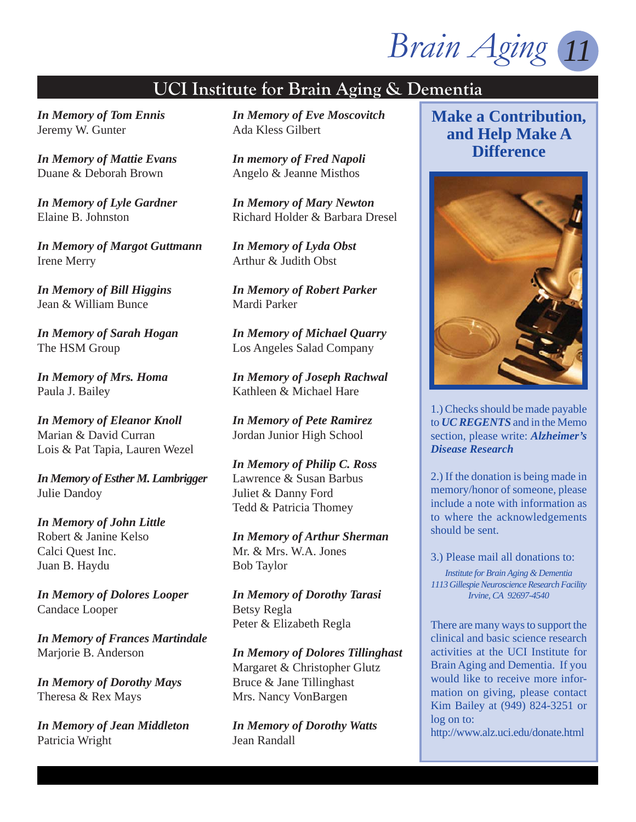*Brain Aging 11*

*In Memory of Tom Ennis* Jeremy W. Gunter

*In Memory of Mattie Evans* Duane & Deborah Brown

*In Memory of Lyle Gardner* Elaine B. Johnston

*In Memory of Margot Guttmann* Irene Merry

*In Memory of Bill Higgins* Jean & William Bunce

*In Memory of Sarah Hogan* The HSM Group

*In Memory of Mrs. Homa* Paula J. Bailey

*In Memory of Eleanor Knoll* Marian & David Curran Lois & Pat Tapia, Lauren Wezel

*In Memory of Esther M. Lambrigger* Julie Dandoy

*In Memory of John Little* Robert & Janine Kelso Calci Quest Inc. Juan B. Haydu

*In Memory of Dolores Looper* Candace Looper

*In Memory of Frances Martindale* Marjorie B. Anderson

*In Memory of Dorothy Mays* Theresa & Rex Mays

*In Memory of Jean Middleton* Patricia Wright

*In Memory of Eve Moscovitch* Ada Kless Gilbert

*In memory of Fred Napoli* Angelo & Jeanne Misthos

*In Memory of Mary Newton* Richard Holder & Barbara Dresel

*In Memory of Lyda Obst* Arthur & Judith Obst

*In Memory of Robert Parker* Mardi Parker

*In Memory of Michael Quarry* Los Angeles Salad Company

*In Memory of Joseph Rachwal* Kathleen & Michael Hare

*In Memory of Pete Ramirez* Jordan Junior High School

*In Memory of Philip C. Ross* Lawrence & Susan Barbus Juliet & Danny Ford Tedd & Patricia Thomey

*In Memory of Arthur Sherman* Mr. & Mrs. W.A. Jones Bob Taylor

*In Memory of Dorothy Tarasi* Betsy Regla Peter & Elizabeth Regla

*In Memory of Dolores Tillinghast* Margaret & Christopher Glutz Bruce & Jane Tillinghast Mrs. Nancy VonBargen

*In Memory of Dorothy Watts* Jean Randall

## **Make a Contribution, and Help Make A Difference**



1.) Checks should be made payable to *UC REGENTS* and in the Memo section, please write: *Alzheimer's Disease Research*

2.) If the donation is being made in memory/honor of someone, please include a note with information as to where the acknowledgements should be sent.

3.) Please mail all donations to:

*Institute for Brain Aging & Dementia 1113 Gillespie Neuroscience Research Facility Irvine, CA 92697-4540*

There are many ways to support the clinical and basic science research activities at the UCI Institute for Brain Aging and Dementia. If you would like to receive more information on giving, please contact Kim Bailey at (949) 824-3251 or log on to:

http://www.alz.uci.edu/donate.html